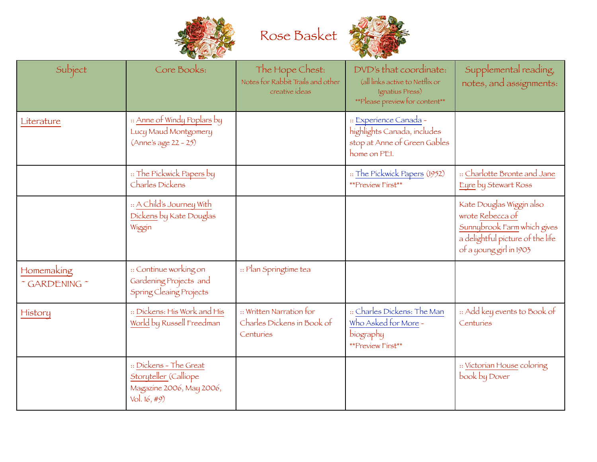



|                             | <b><i>COMPANY REPORTS</i></b>                                                               |                                                                        |                                                                                                                |                                                                                                                                            |
|-----------------------------|---------------------------------------------------------------------------------------------|------------------------------------------------------------------------|----------------------------------------------------------------------------------------------------------------|--------------------------------------------------------------------------------------------------------------------------------------------|
| Subject                     | Core Books:                                                                                 | The Hope Chest:<br>Notes for Rabbit Trails and other<br>creative ideas | DVD's that coordinate:<br>(all links active to Netflix or<br>Ignatius Press)<br>**Please preview for content** | Supplemental reading,<br>notes, and assignments:                                                                                           |
| Literature                  | :: <u>Anne of Windy Poplars</u> by<br>Lucy Maud Montgomery<br>(Anne's age 22 - 25)          |                                                                        | :: Experience Canada -<br>highlights Canada, includes<br>stop at Anne of Green Gables<br>home on PEI.          |                                                                                                                                            |
|                             | :: The Pickwick Papers by<br>Charles Dickens                                                |                                                                        | :: The Pickwick Papers (1952)<br>**Preview First**                                                             | :: Charlotte Bronte and Jane<br>Eyre by Stewart Ross                                                                                       |
|                             | :: A Child's Journey With<br>Dickens by Kate Douglas<br>Wiggin                              |                                                                        |                                                                                                                | Kate Douglas Wiggin also<br>wrote Rebecca of<br>Sunnybrook Farm which gives<br>a delightful picture of the life<br>of a young girl in 1903 |
| Homemaking<br>" GARDENING " | :: Continue working on<br>Gardening Projects and<br>Spring Cleaing Projects                 | :: Plan Springtime tea                                                 |                                                                                                                |                                                                                                                                            |
| History                     | :: Dickens: His Work and His<br>World by Russell Freedman                                   | :: Written Narration for<br>Charles Dickens in Book of<br>Centuries    | :: Charles Dickens: The Man<br>Who Asked for More -<br>biography<br>**Preview First**                          | :: Add key events to Book of<br>Centuries                                                                                                  |
|                             | :: Dickens - The Great<br>Storyteller (Calliope<br>Magazine 2006, May 2006,<br>Vol. 16, #9) |                                                                        |                                                                                                                | :: Victorian House coloring<br>book by Dover                                                                                               |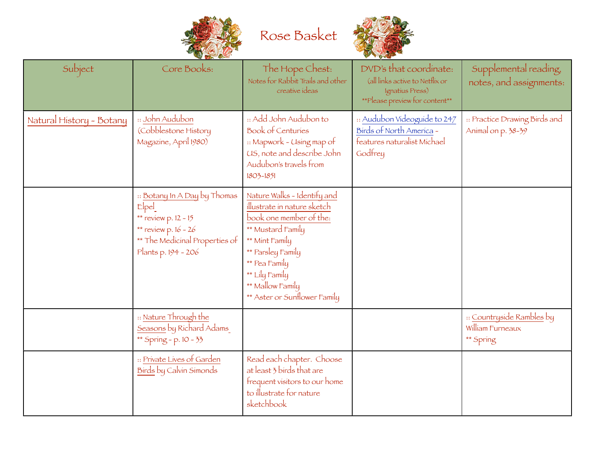

Rose Basket



| Subject                  | Core Books:                                                                                                                                          | The Hope Chest:<br>Notes for Rabbit Trails and other<br>creative ideas                                                                                                                                                                   | DVD's that coordinate:<br>(all links active to Netflix or<br>Ignatius Press)<br>**Please preview for content** | Supplemental reading,<br>notes, and assignments:           |
|--------------------------|------------------------------------------------------------------------------------------------------------------------------------------------------|------------------------------------------------------------------------------------------------------------------------------------------------------------------------------------------------------------------------------------------|----------------------------------------------------------------------------------------------------------------|------------------------------------------------------------|
| Natural History - Botany | :: John Audubon<br>(Cobblestone History<br>Magazine, April 1980)                                                                                     | :: Add John Audubon to<br><b>Book of Centuries</b><br>:: Mapwork - Using map of<br>US, note and describe John<br>Audubon's travels from<br>1803-1851                                                                                     | :: Audubon Videoguide to 247<br>Birds of North America -<br>features naturalist Michael<br>Godfrey             | :: Practice Drawing Birds and<br>Animal on p. 38-39        |
|                          | :: Botany In A Day by Thomas<br>$E$ pel<br>** $review p. 12 - 15$<br>** review p. $16 - 26$<br>** The Medicinal Properties of<br>Plants p. 194 - 206 | Nature Walks - Identify and<br>illustrate in nature sketch<br>book one member of the:<br>** Mustard Family<br>** Mint Family<br>** Parsley Family<br>** Pea Family<br>** Lily Family<br>** Mallow Family<br>** Aster or Sunflower Family |                                                                                                                |                                                            |
|                          | :: Nature Through the<br>Seasons by Richard Adams<br>** Spring - p. 10 - 33                                                                          |                                                                                                                                                                                                                                          |                                                                                                                | :: Countryside Rambles by<br>William Furneaux<br>** Spring |
|                          | :: Private Lives of Garden<br>Birds by Calvin Simonds                                                                                                | Read each chapter. Choose<br>at least 3 birds that are<br>frequent visitors to our home<br>to illustrate for nature<br>sketchbook                                                                                                        |                                                                                                                |                                                            |